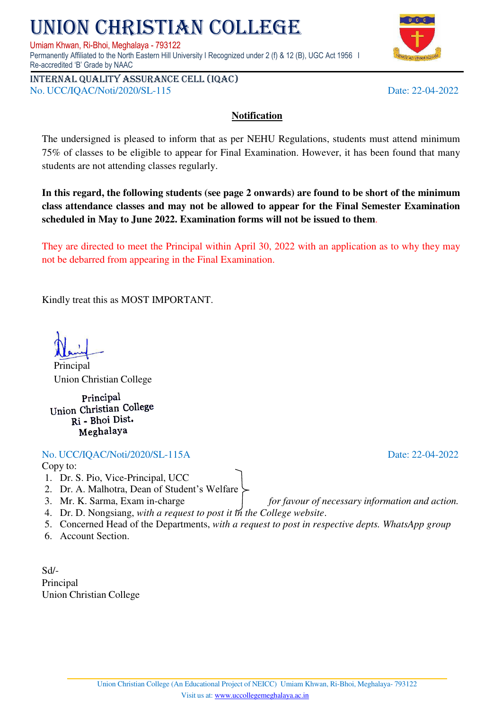## NION CHRISTIAN COLLEGE

Umiam Khwan, Ri-Bhoi, Meghalaya - 793122

Permanently Affiliated to the North Eastern Hill University I Recognized under 2 (f) & 12 (B), UGC Act 1956 I Re-accredited 'B' Grade by NAAC

Internal quality assurance cell (IQAC) No. UCC/IQAC/Noti/2020/SL-115 Date: 22-04-2022

## **Notification**

The undersigned is pleased to inform that as per NEHU Regulations, students must attend minimum 75% of classes to be eligible to appear for Final Examination. However, it has been found that many students are not attending classes regularly.

**In this regard, the following students (see page 2 onwards) are found to be short of the minimum class attendance classes and may not be allowed to appear for the Final Semester Examination scheduled in May to June 2022. Examination forms will not be issued to them**.

They are directed to meet the Principal within April 30, 2022 with an application as to why they may not be debarred from appearing in the Final Examination.

Kindly treat this as MOST IMPORTANT.

**Principal** 

Union Christian College

Principal Union Christian College Ri - Bhoi Dist. Meghalaya

No. UCC/IQAC/Noti/2020/SL-115A Date: 22-04-2022

Copy to:

- 1. Dr. S. Pio, Vice-Principal, UCC
- 2. Dr. A. Malhotra, Dean of Student's Welfare
- 3. Mr. K. Sarma, Exam in-charge *for favour of necessary information and action.*
- 4. Dr. D. Nongsiang, *with a request to post it in the College website*.
- 5. Concerned Head of the Departments, *with a request to post in respective depts. WhatsApp group*
- 6. Account Section.

Sd/- Principal Union Christian College

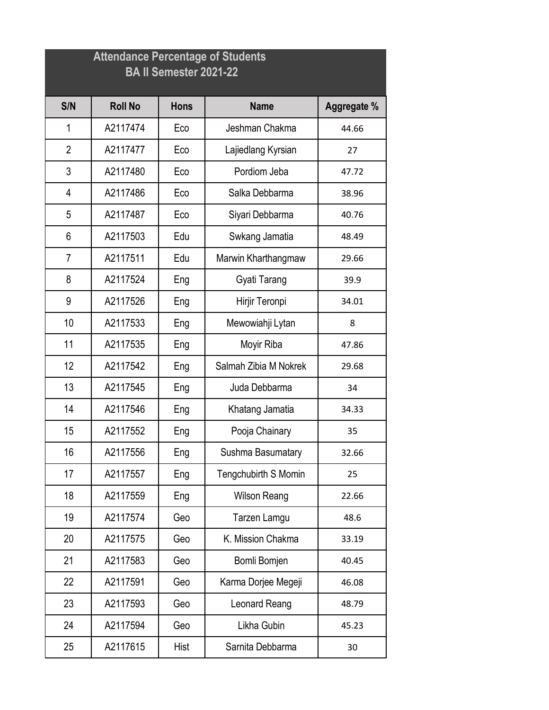|                | <b>Attendance Percentage of Students</b><br><b>BA II Semester 2021-22</b> |             |                       |             |  |  |
|----------------|---------------------------------------------------------------------------|-------------|-----------------------|-------------|--|--|
| S/N            | <b>Roll No</b>                                                            | <b>Hons</b> | <b>Name</b>           | Aggregate % |  |  |
| 1              | A2117474                                                                  | Eco         | Jeshman Chakma        | 44.66       |  |  |
| $\overline{2}$ | A2117477                                                                  | Eco         | Lajiedlang Kyrsian    | 27          |  |  |
| 3              | A2117480                                                                  | Eco         | Pordiom Jeba          | 47.72       |  |  |
| 4              | A2117486                                                                  | Eco         | Salka Debbarma        | 38.96       |  |  |
| 5              | A2117487                                                                  | Eco         | Siyari Debbarma       | 40.76       |  |  |
| 6              | A2117503                                                                  | Edu         | Swkang Jamatia        | 48.49       |  |  |
| $\overline{7}$ | A2117511                                                                  | Edu         | Marwin Kharthangmaw   | 29.66       |  |  |
| 8              | A2117524                                                                  | Eng         | Gyati Tarang          | 39.9        |  |  |
| 9              | A2117526                                                                  | Eng         | Hirjir Teronpi        | 34.01       |  |  |
| 10             | A2117533                                                                  | Eng         | Mewowiahji Lytan      | 8           |  |  |
| 11             | A2117535                                                                  | Eng         | Moyir Riba            | 47.86       |  |  |
| 12             | A2117542                                                                  | Eng         | Salmah Zibia M Nokrek | 29.68       |  |  |
| 13             | A2117545                                                                  | Eng         | Juda Debbarma         | 34          |  |  |
| 14             | A2117546                                                                  | Eng         | Khatang Jamatia       | 34.33       |  |  |
| 15             | A2117552                                                                  | Eng         | Pooja Chainary        | 35          |  |  |
| 16             | A2117556                                                                  | Eng         | Sushma Basumatary     | 32.66       |  |  |
| 17             | A2117557                                                                  | Eng         | Tengchubirth S Momin  | 25          |  |  |
| 18             | A2117559                                                                  | Eng         | <b>Wilson Reang</b>   | 22.66       |  |  |
| 19             | A2117574                                                                  | Geo         | Tarzen Lamgu          | 48.6        |  |  |
| 20             | A2117575                                                                  | Geo         | K. Mission Chakma     | 33.19       |  |  |
| 21             | A2117583                                                                  | Geo         | Bomli Bomjen          | 40.45       |  |  |
| 22             | A2117591                                                                  | Geo         | Karma Dorjee Megeji   | 46.08       |  |  |
| 23             | A2117593                                                                  | Geo         | Leonard Reang         | 48.79       |  |  |
| 24             | A2117594                                                                  | Geo         | Likha Gubin           | 45.23       |  |  |
| 25             | A2117615                                                                  | Hist        | Sarnita Debbarma      | 30          |  |  |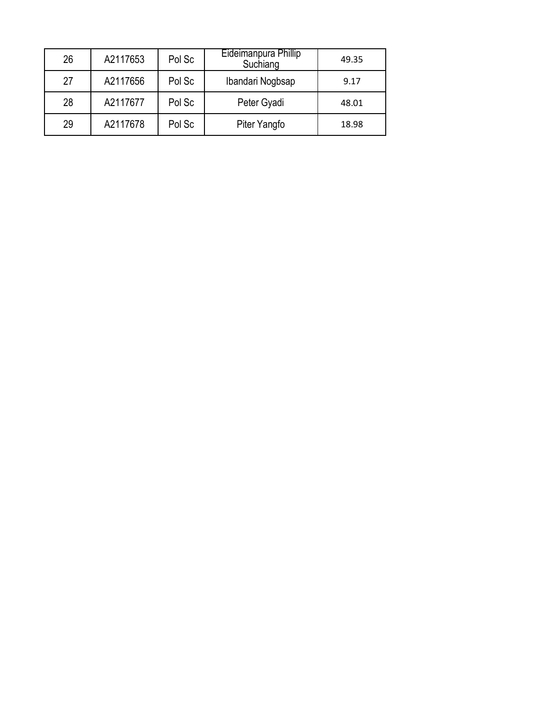| 26 | A2117653 | Pol Sc | Eideimanpura Phillip<br>Suchiang | 49.35 |
|----|----------|--------|----------------------------------|-------|
| 27 | A2117656 | Pol Sc | Ibandari Nogbsap                 | 9.17  |
| 28 | A2117677 | Pol Sc | Peter Gyadi                      | 48.01 |
| 29 | A2117678 | Pol Sc | Piter Yangfo                     | 18.98 |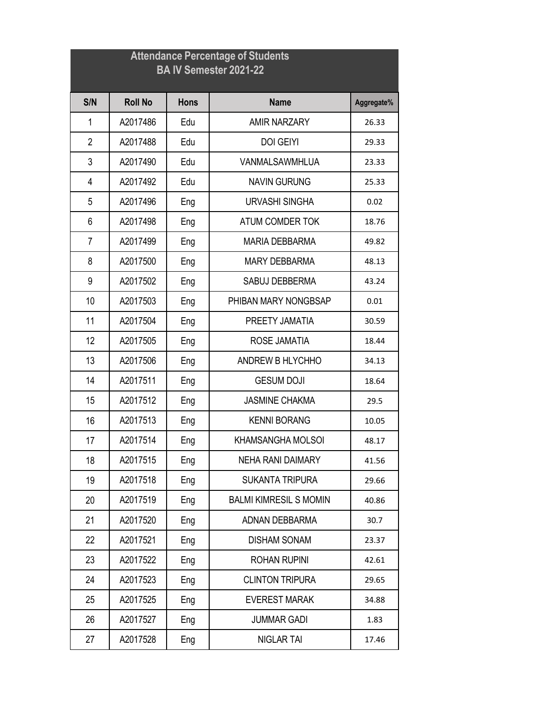| <b>Attendance Percentage of Students</b><br><b>BAIV Semester 2021-22</b> |                |             |                               |            |  |
|--------------------------------------------------------------------------|----------------|-------------|-------------------------------|------------|--|
| S/N                                                                      | <b>Roll No</b> | <b>Hons</b> | <b>Name</b>                   | Aggregate% |  |
| 1                                                                        | A2017486       | Edu         | <b>AMIR NARZARY</b>           | 26.33      |  |
| $\overline{2}$                                                           | A2017488       | Edu         | <b>DOI GEIYI</b>              | 29.33      |  |
| 3                                                                        | A2017490       | Edu         | VANMALSAWMHLUA                | 23.33      |  |
| 4                                                                        | A2017492       | Edu         | <b>NAVIN GURUNG</b>           | 25.33      |  |
| 5                                                                        | A2017496       | Eng         | <b>URVASHI SINGHA</b>         | 0.02       |  |
| 6                                                                        | A2017498       | Eng         | ATUM COMDER TOK               | 18.76      |  |
| $\overline{7}$                                                           | A2017499       | Eng         | <b>MARIA DEBBARMA</b>         | 49.82      |  |
| 8                                                                        | A2017500       | Eng         | <b>MARY DEBBARMA</b>          | 48.13      |  |
| 9                                                                        | A2017502       | Eng         | SABUJ DEBBERMA                | 43.24      |  |
| 10                                                                       | A2017503       | Eng         | PHIBAN MARY NONGBSAP          | 0.01       |  |
| 11                                                                       | A2017504       | Eng         | PREETY JAMATIA                | 30.59      |  |
| 12                                                                       | A2017505       | Eng         | ROSE JAMATIA                  | 18.44      |  |
| 13                                                                       | A2017506       | Eng         | <b>ANDREW B HLYCHHO</b>       | 34.13      |  |
| 14                                                                       | A2017511       | Eng         | <b>GESUM DOJI</b>             | 18.64      |  |
| 15                                                                       | A2017512       | Eng         | <b>JASMINE CHAKMA</b>         | 29.5       |  |
| 16                                                                       | A2017513       | Eng         | <b>KENNI BORANG</b>           | 10.05      |  |
| 17                                                                       | A2017514       | Eng         | <b>KHAMSANGHA MOLSOI</b>      | 48.17      |  |
| 18                                                                       | A2017515       | Eng         | <b>NEHA RANI DAIMARY</b>      | 41.56      |  |
| 19                                                                       | A2017518       | Eng         | <b>SUKANTA TRIPURA</b>        | 29.66      |  |
| 20                                                                       | A2017519       | Eng         | <b>BALMI KIMRESIL S MOMIN</b> | 40.86      |  |
| 21                                                                       | A2017520       | Eng         | ADNAN DEBBARMA                | 30.7       |  |
| 22                                                                       | A2017521       | Eng         | <b>DISHAM SONAM</b>           | 23.37      |  |
| 23                                                                       | A2017522       | Eng         | <b>ROHAN RUPINI</b>           | 42.61      |  |
| 24                                                                       | A2017523       | Eng         | <b>CLINTON TRIPURA</b>        | 29.65      |  |
| 25                                                                       | A2017525       | Eng         | <b>EVEREST MARAK</b>          | 34.88      |  |
| 26                                                                       | A2017527       | Eng         | <b>JUMMAR GADI</b>            | 1.83       |  |
| 27                                                                       | A2017528       | Eng         | <b>NIGLAR TAI</b>             | 17.46      |  |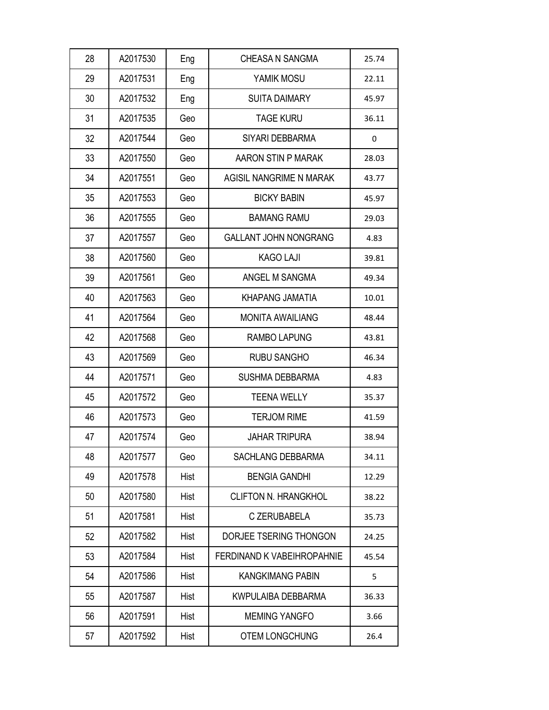| 28 | A2017530 | Eng  | <b>CHEASA N SANGMA</b>            | 25.74 |
|----|----------|------|-----------------------------------|-------|
| 29 | A2017531 | Eng  | YAMIK MOSU                        | 22.11 |
| 30 | A2017532 | Eng  | <b>SUITA DAIMARY</b>              | 45.97 |
| 31 | A2017535 | Geo  | <b>TAGE KURU</b>                  | 36.11 |
| 32 | A2017544 | Geo  | SIYARI DEBBARMA                   | 0     |
| 33 | A2017550 | Geo  | AARON STIN P MARAK                | 28.03 |
| 34 | A2017551 | Geo  | AGISIL NANGRIME N MARAK           | 43.77 |
| 35 | A2017553 | Geo  | <b>BICKY BABIN</b>                | 45.97 |
| 36 | A2017555 | Geo  | <b>BAMANG RAMU</b>                | 29.03 |
| 37 | A2017557 | Geo  | <b>GALLANT JOHN NONGRANG</b>      | 4.83  |
| 38 | A2017560 | Geo  | <b>KAGO LAJI</b>                  | 39.81 |
| 39 | A2017561 | Geo  | ANGEL M SANGMA                    | 49.34 |
| 40 | A2017563 | Geo  | KHAPANG JAMATIA                   | 10.01 |
| 41 | A2017564 | Geo  | <b>MONITA AWAILIANG</b>           | 48.44 |
| 42 | A2017568 | Geo  | <b>RAMBO LAPUNG</b>               | 43.81 |
| 43 | A2017569 | Geo  | <b>RUBU SANGHO</b>                | 46.34 |
| 44 | A2017571 | Geo  | <b>SUSHMA DEBBARMA</b>            | 4.83  |
| 45 | A2017572 | Geo  | <b>TEENA WELLY</b>                | 35.37 |
| 46 | A2017573 | Geo  | <b>TERJOM RIME</b>                | 41.59 |
| 47 | A2017574 | Geo  | <b>JAHAR TRIPURA</b>              | 38.94 |
| 48 | A2017577 | Geo  | <b>SACHLANG DEBBARMA</b>          | 34.11 |
| 49 | A2017578 | Hist | <b>BENGIA GANDHI</b>              | 12.29 |
| 50 | A2017580 | Hist | <b>CLIFTON N. HRANGKHOL</b>       | 38.22 |
| 51 | A2017581 | Hist | C ZERUBABELA                      | 35.73 |
| 52 | A2017582 | Hist | DORJEE TSERING THONGON            | 24.25 |
| 53 | A2017584 | Hist | <b>FERDINAND K VABEIHROPAHNIE</b> | 45.54 |
| 54 | A2017586 | Hist | <b>KANGKIMANG PABIN</b>           | 5     |
| 55 | A2017587 | Hist | KWPULAIBA DEBBARMA                | 36.33 |
| 56 | A2017591 | Hist | <b>MEMING YANGFO</b>              | 3.66  |
| 57 | A2017592 | Hist | <b>OTEM LONGCHUNG</b>             | 26.4  |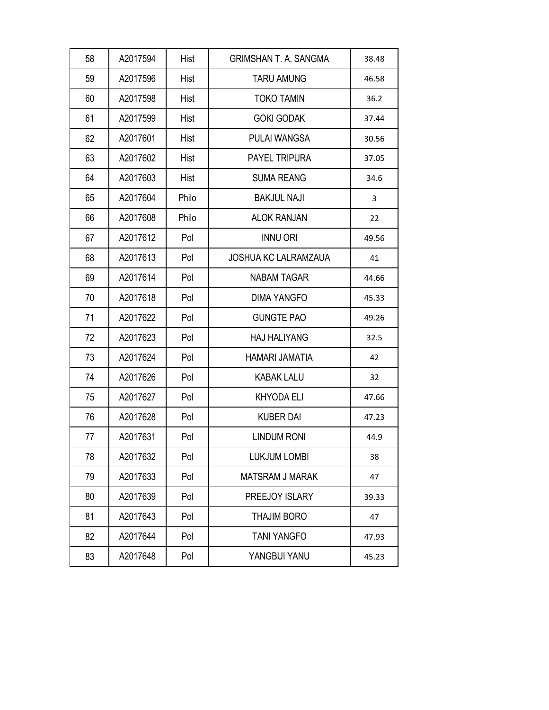| 58 | A2017594 | Hist  | <b>GRIMSHAN T. A. SANGMA</b> | 38.48 |
|----|----------|-------|------------------------------|-------|
| 59 | A2017596 | Hist  | <b>TARU AMUNG</b>            | 46.58 |
| 60 | A2017598 | Hist  | <b>TOKO TAMIN</b>            | 36.2  |
| 61 | A2017599 | Hist  | <b>GOKI GODAK</b>            | 37.44 |
| 62 | A2017601 | Hist  | <b>PULAI WANGSA</b>          | 30.56 |
| 63 | A2017602 | Hist  | <b>PAYEL TRIPURA</b>         | 37.05 |
| 64 | A2017603 | Hist  | <b>SUMA REANG</b>            | 34.6  |
| 65 | A2017604 | Philo | <b>BAKJUL NAJI</b>           | 3     |
| 66 | A2017608 | Philo | <b>ALOK RANJAN</b>           | 22    |
| 67 | A2017612 | Pol   | <b>INNU ORI</b>              | 49.56 |
| 68 | A2017613 | Pol   | <b>JOSHUA KC LALRAMZAUA</b>  | 41    |
| 69 | A2017614 | Pol   | <b>NABAM TAGAR</b>           | 44.66 |
| 70 | A2017618 | Pol   | <b>DIMA YANGFO</b>           | 45.33 |
| 71 | A2017622 | Pol   | <b>GUNGTE PAO</b>            | 49.26 |
| 72 | A2017623 | Pol   | <b>HAJ HALIYANG</b>          | 32.5  |
| 73 | A2017624 | Pol   | HAMARI JAMATIA               | 42    |
| 74 | A2017626 | Pol   | <b>KABAK LALU</b>            | 32    |
| 75 | A2017627 | Pol   | <b>KHYODA ELI</b>            | 47.66 |
| 76 | A2017628 | Pol   | <b>KUBER DAI</b>             | 47.23 |
| 77 | A2017631 | Pol   | <b>LINDUM RONI</b>           | 44.9  |
| 78 | A2017632 | Pol   | <b>LUKJUM LOMBI</b>          | 38    |
| 79 | A2017633 | Pol   | <b>MATSRAM J MARAK</b>       | 47    |
| 80 | A2017639 | Pol   | PREEJOY ISLARY               | 39.33 |
| 81 | A2017643 | Pol   | <b>THAJIM BORO</b>           | 47    |
| 82 | A2017644 | Pol   | <b>TANI YANGFO</b>           | 47.93 |
| 83 | A2017648 | Pol   | YANGBUI YANU                 | 45.23 |
|    |          |       |                              |       |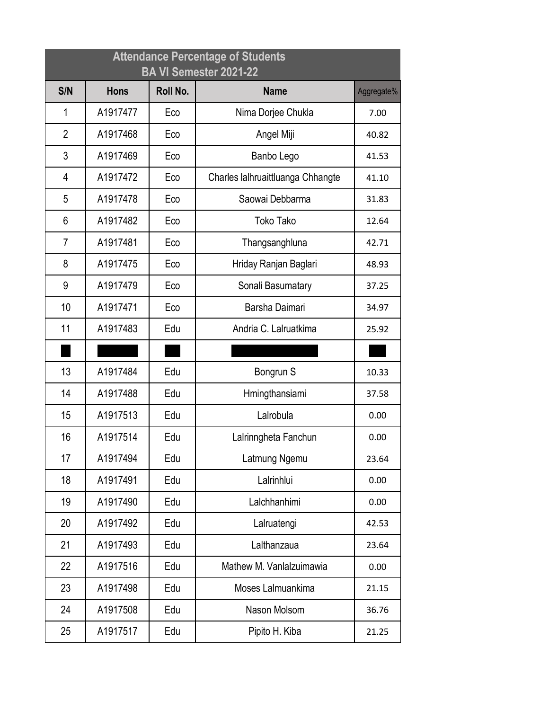|                | <b>Attendance Percentage of Students</b><br>BA VI Semester 2021-22 |          |                                   |            |  |  |
|----------------|--------------------------------------------------------------------|----------|-----------------------------------|------------|--|--|
| S/N            | <b>Hons</b>                                                        | Roll No. | <b>Name</b>                       | Aggregate% |  |  |
| 1              | A1917477                                                           | Eco      | Nima Dorjee Chukla                | 7.00       |  |  |
| $\overline{2}$ | A1917468                                                           | Eco      | Angel Miji                        | 40.82      |  |  |
| 3              | A1917469                                                           | Eco      | Banbo Lego                        | 41.53      |  |  |
| $\overline{4}$ | A1917472                                                           | Eco      | Charles lalhruaittluanga Chhangte | 41.10      |  |  |
| 5              | A1917478                                                           | Eco      | Saowai Debbarma                   | 31.83      |  |  |
| 6              | A1917482                                                           | Eco      | <b>Toko Tako</b>                  | 12.64      |  |  |
| $\overline{7}$ | A1917481                                                           | Eco      | Thangsanghluna                    | 42.71      |  |  |
| 8              | A1917475                                                           | Eco      | Hriday Ranjan Baglari             | 48.93      |  |  |
| 9              | A1917479                                                           | Eco      | Sonali Basumatary                 | 37.25      |  |  |
| 10             | A1917471                                                           | Eco      | Barsha Daimari                    | 34.97      |  |  |
| 11             | A1917483                                                           | Edu      | Andria C. Lalruatkima             | 25.92      |  |  |
|                |                                                                    |          |                                   |            |  |  |
| 13             | A1917484                                                           | Edu      | Bongrun S                         | 10.33      |  |  |
| 14             | A1917488                                                           | Edu      | Hmingthansiami                    | 37.58      |  |  |
| 15             | A1917513                                                           | Edu      | Lalrobula                         | 0.00       |  |  |
| 16             | A1917514                                                           | Edu      | Lalrinngheta Fanchun              | 0.00       |  |  |
| 17             | A1917494                                                           | Edu      | Latmung Ngemu                     | 23.64      |  |  |
| 18             | A1917491                                                           | Edu      | Lalrinhlui                        | 0.00       |  |  |
| 19             | A1917490                                                           | Edu      | Lalchhanhimi                      | 0.00       |  |  |
| 20             | A1917492                                                           | Edu      | Lalruatengi                       | 42.53      |  |  |
| 21             | A1917493                                                           | Edu      | Lalthanzaua                       | 23.64      |  |  |
| 22             | A1917516                                                           | Edu      | Mathew M. Vanlalzuimawia          | 0.00       |  |  |
| 23             | A1917498                                                           | Edu      | Moses Lalmuankima                 | 21.15      |  |  |
| 24             | A1917508                                                           | Edu      | Nason Molsom                      | 36.76      |  |  |
| 25             | A1917517                                                           | Edu      | Pipito H. Kiba                    | 21.25      |  |  |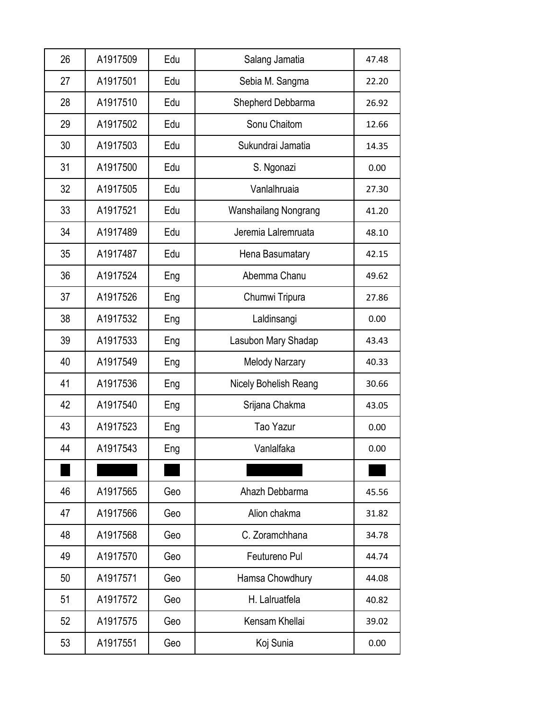| 26<br>A1917509 | Edu | Salang Jamatia        | 47.48 |
|----------------|-----|-----------------------|-------|
|                |     |                       |       |
| 27<br>A1917501 | Edu | Sebia M. Sangma       | 22.20 |
| 28<br>A1917510 | Edu | Shepherd Debbarma     | 26.92 |
| 29<br>A1917502 | Edu | Sonu Chaitom          | 12.66 |
| 30<br>A1917503 | Edu | Sukundrai Jamatia     | 14.35 |
| 31<br>A1917500 | Edu | S. Ngonazi            | 0.00  |
| 32<br>A1917505 | Edu | Vanlalhruaia          | 27.30 |
| 33<br>A1917521 | Edu | Wanshailang Nongrang  | 41.20 |
| 34<br>A1917489 | Edu | Jeremia Lalremruata   | 48.10 |
| 35<br>A1917487 | Edu | Hena Basumatary       | 42.15 |
| 36<br>A1917524 | Eng | Abemma Chanu          | 49.62 |
| 37<br>A1917526 | Eng | Chumwi Tripura        | 27.86 |
| 38<br>A1917532 | Eng | Laldinsangi           | 0.00  |
| 39<br>A1917533 | Eng | Lasubon Mary Shadap   | 43.43 |
| 40<br>A1917549 | Eng | <b>Melody Narzary</b> | 40.33 |
| 41<br>A1917536 | Eng | Nicely Bohelish Reang | 30.66 |
| 42<br>A1917540 | Eng | Srijana Chakma        | 43.05 |
| 43<br>A1917523 | Eng | Tao Yazur             | 0.00  |
| A1917543<br>44 | Eng | Vanlalfaka            | 0.00  |
|                |     |                       |       |
| 46<br>A1917565 | Geo | Ahazh Debbarma        | 45.56 |
| 47<br>A1917566 | Geo | Alion chakma          | 31.82 |
| 48<br>A1917568 | Geo | C. Zoramchhana        | 34.78 |
| 49<br>A1917570 | Geo | Feutureno Pul         | 44.74 |
| 50<br>A1917571 | Geo | Hamsa Chowdhury       | 44.08 |
| 51<br>A1917572 | Geo | H. Lalruatfela        | 40.82 |
| 52<br>A1917575 | Geo | Kensam Khellai        | 39.02 |
| 53<br>A1917551 | Geo | Koj Sunia             | 0.00  |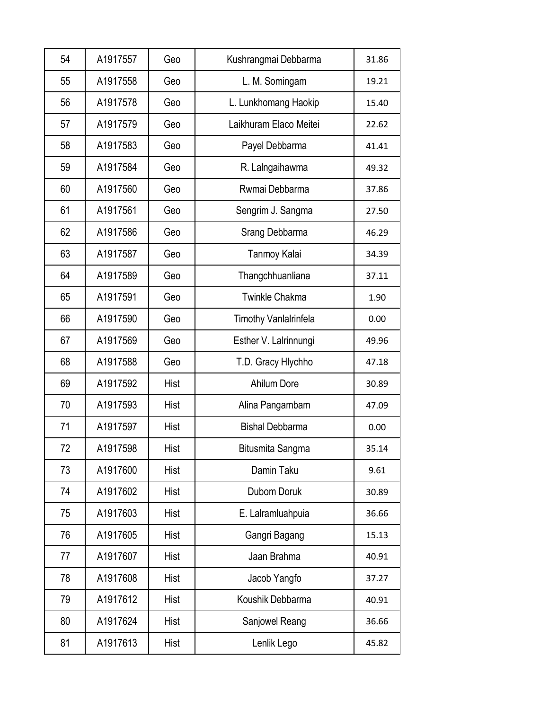| 54 | A1917557 | Geo  | Kushrangmai Debbarma         | 31.86 |
|----|----------|------|------------------------------|-------|
| 55 | A1917558 | Geo  | L. M. Somingam               | 19.21 |
| 56 | A1917578 | Geo  | L. Lunkhomang Haokip         | 15.40 |
| 57 | A1917579 | Geo  | Laikhuram Elaco Meitei       | 22.62 |
| 58 | A1917583 | Geo  | Payel Debbarma               | 41.41 |
| 59 | A1917584 | Geo  | R. Lalngaihawma              | 49.32 |
| 60 | A1917560 | Geo  | Rwmai Debbarma               | 37.86 |
| 61 | A1917561 | Geo  | Sengrim J. Sangma            | 27.50 |
| 62 | A1917586 | Geo  | Srang Debbarma               | 46.29 |
| 63 | A1917587 | Geo  | Tanmoy Kalai                 | 34.39 |
| 64 | A1917589 | Geo  | Thangchhuanliana             | 37.11 |
| 65 | A1917591 | Geo  | <b>Twinkle Chakma</b>        | 1.90  |
| 66 | A1917590 | Geo  | <b>Timothy Vanlalrinfela</b> | 0.00  |
| 67 | A1917569 | Geo  | Esther V. Lalrinnungi        | 49.96 |
| 68 | A1917588 | Geo  | T.D. Gracy Hlychho           | 47.18 |
| 69 | A1917592 | Hist | <b>Ahilum Dore</b>           | 30.89 |
| 70 | A1917593 | Hist | Alina Pangambam              | 47.09 |
| 71 | A1917597 | Hist | <b>Bishal Debbarma</b>       | 0.00  |
| 72 | A1917598 | Hist | Bitusmita Sangma             | 35.14 |
| 73 | A1917600 | Hist | Damin Taku                   | 9.61  |
| 74 | A1917602 | Hist | Dubom Doruk                  | 30.89 |
| 75 | A1917603 | Hist | E. Lalramluahpuia            | 36.66 |
| 76 | A1917605 | Hist | Gangri Bagang                | 15.13 |
| 77 | A1917607 | Hist | Jaan Brahma                  | 40.91 |
| 78 | A1917608 | Hist | Jacob Yangfo                 | 37.27 |
| 79 | A1917612 | Hist | Koushik Debbarma             | 40.91 |
| 80 | A1917624 | Hist | Sanjowel Reang               | 36.66 |
| 81 | A1917613 | Hist | Lenlik Lego                  | 45.82 |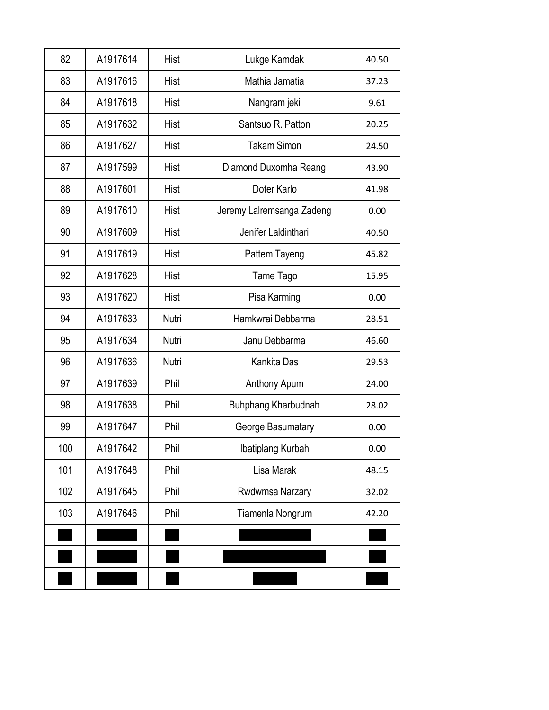| 82  | A1917614 | Hist  | Lukge Kamdak              | 40.50 |
|-----|----------|-------|---------------------------|-------|
| 83  | A1917616 | Hist  | Mathia Jamatia            | 37.23 |
| 84  | A1917618 | Hist  | Nangram jeki              | 9.61  |
| 85  | A1917632 | Hist  | Santsuo R. Patton         | 20.25 |
| 86  | A1917627 | Hist  | <b>Takam Simon</b>        | 24.50 |
| 87  | A1917599 | Hist  | Diamond Duxomha Reang     | 43.90 |
| 88  | A1917601 | Hist  | Doter Karlo               | 41.98 |
| 89  | A1917610 | Hist  | Jeremy Lalremsanga Zadeng | 0.00  |
| 90  | A1917609 | Hist  | Jenifer Laldinthari       | 40.50 |
| 91  | A1917619 | Hist  | Pattem Tayeng             | 45.82 |
| 92  | A1917628 | Hist  | Tame Tago                 | 15.95 |
| 93  | A1917620 | Hist  | Pisa Karming              | 0.00  |
| 94  | A1917633 | Nutri | Hamkwrai Debbarma         | 28.51 |
| 95  | A1917634 | Nutri | Janu Debbarma             | 46.60 |
| 96  | A1917636 | Nutri | Kankita Das               | 29.53 |
| 97  | A1917639 | Phil  | Anthony Apum              | 24.00 |
| 98  | A1917638 | Phil  | Buhphang Kharbudnah       | 28.02 |
| 99  | A1917647 | Phil  | George Basumatary         | 0.00  |
| 100 | A1917642 | Phil  | Ibatiplang Kurbah         | 0.00  |
| 101 | A1917648 | Phil  | Lisa Marak                | 48.15 |
| 102 | A1917645 | Phil  | Rwdwmsa Narzary           | 32.02 |
| 103 | A1917646 | Phil  | Tiamenla Nongrum          | 42.20 |
|     |          |       |                           |       |
|     |          |       |                           |       |
|     |          |       |                           |       |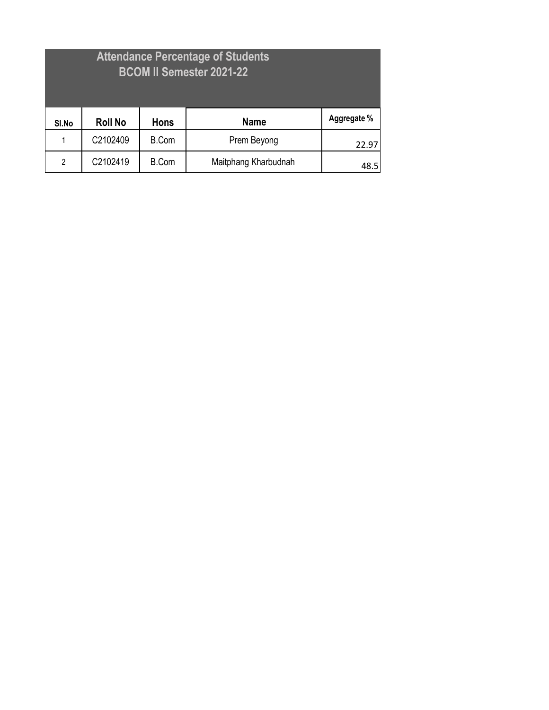| <b>Attendance Percentage of Students</b><br><b>BCOM II Semester 2021-22</b> |                |              |                      |             |
|-----------------------------------------------------------------------------|----------------|--------------|----------------------|-------------|
| SI.No                                                                       | <b>Roll No</b> | <b>Hons</b>  | <b>Name</b>          | Aggregate % |
| 1                                                                           | C2102409       | <b>B.Com</b> | Prem Beyong          | 22.97       |
| $\overline{2}$                                                              | C2102419       | <b>B.Com</b> | Maitphang Kharbudnah | 48.5        |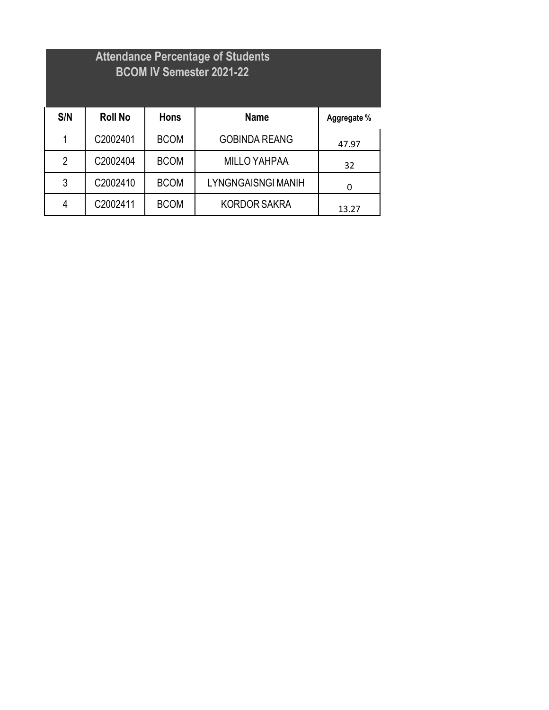## **Attendance Percentage of Students BCOM IV Semester 2021-22**

| S/N            | <b>Roll No</b> | <b>Hons</b> | <b>Name</b>               | Aggregate % |
|----------------|----------------|-------------|---------------------------|-------------|
|                | C2002401       | <b>BCOM</b> | <b>GOBINDA REANG</b>      | 47.97       |
| $\overline{2}$ | C2002404       | <b>BCOM</b> | <b>MILLO YAHPAA</b>       | 32          |
| 3              | C2002410       | <b>BCOM</b> | <b>LYNGNGAISNGI MANIH</b> | 0           |
| 4              | C2002411       | <b>BCOM</b> | <b>KORDOR SAKRA</b>       | 13.27       |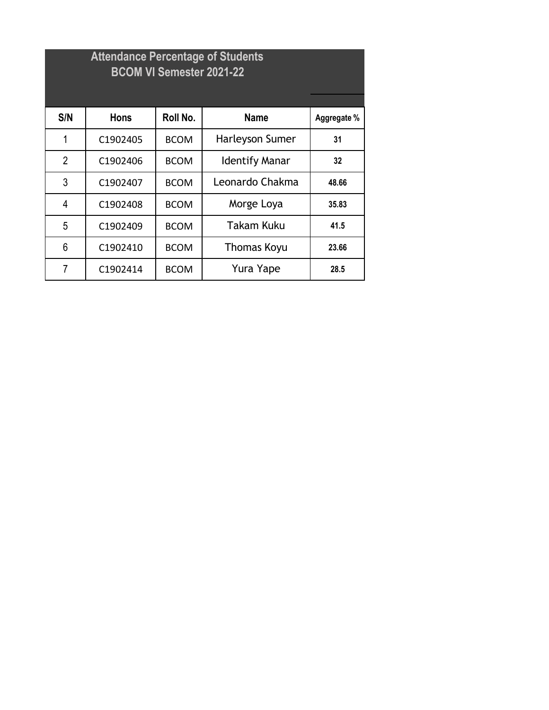|                | <b>Attendance Percentage of Students</b><br><b>BCOM VI Semester 2021-22</b> |             |                       |             |  |  |
|----------------|-----------------------------------------------------------------------------|-------------|-----------------------|-------------|--|--|
| S/N            | <b>Hons</b>                                                                 | Roll No.    | <b>Name</b>           | Aggregate % |  |  |
| 1              | C1902405                                                                    | <b>BCOM</b> | Harleyson Sumer       | 31          |  |  |
| $\overline{2}$ | C1902406                                                                    | <b>BCOM</b> | <b>Identify Manar</b> | 32          |  |  |
| 3              | C1902407                                                                    | <b>BCOM</b> | Leonardo Chakma       | 48.66       |  |  |
| 4              | C1902408                                                                    | <b>BCOM</b> | Morge Loya            | 35.83       |  |  |
| 5              | C1902409                                                                    | <b>BCOM</b> | Takam Kuku            | 41.5        |  |  |
| 6              | C1902410                                                                    | <b>BCOM</b> | <b>Thomas Koyu</b>    | 23.66       |  |  |
| $\overline{7}$ | C1902414                                                                    | <b>BCOM</b> | Yura Yape             | 28.5        |  |  |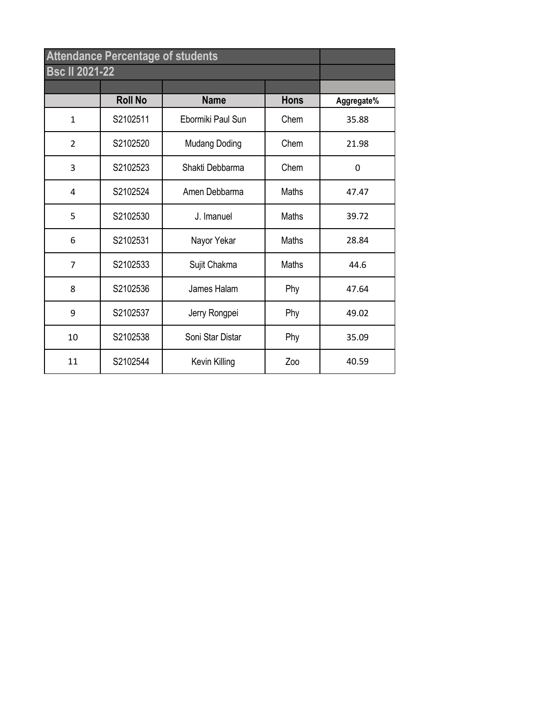| <b>Attendance Percentage of students</b> |                |                      |              |            |
|------------------------------------------|----------------|----------------------|--------------|------------|
| <b>Bsc II 2021-22</b>                    |                |                      |              |            |
|                                          |                |                      |              |            |
|                                          | <b>Roll No</b> | <b>Name</b>          | <b>Hons</b>  | Aggregate% |
| $\mathbf{1}$                             | S2102511       | Ebormiki Paul Sun    | Chem         | 35.88      |
| $\overline{2}$                           | S2102520       | <b>Mudang Doding</b> | Chem         | 21.98      |
| 3                                        | S2102523       | Shakti Debbarma      | Chem         | 0          |
| 4                                        | S2102524       | Amen Debbarma        | Maths        | 47.47      |
| 5                                        | S2102530       | J. Imanuel           | <b>Maths</b> | 39.72      |
| 6                                        | S2102531       | Nayor Yekar          | Maths        | 28.84      |
| $\overline{7}$                           | S2102533       | Sujit Chakma         | <b>Maths</b> | 44.6       |
| 8                                        | S2102536       | James Halam          | Phy          | 47.64      |
| 9                                        | S2102537       | Jerry Rongpei        | Phy          | 49.02      |
| 10                                       | S2102538       | Soni Star Distar     | Phy          | 35.09      |
| 11                                       | S2102544       | Kevin Killing        | Zoo          | 40.59      |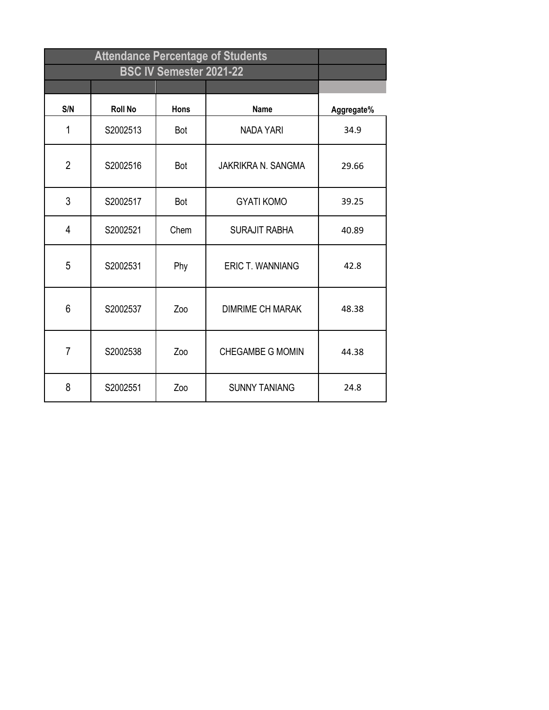| S/N            | <b>Roll No</b> | <b>Hons</b> | <b>Name</b>               | Aggregate% |
|----------------|----------------|-------------|---------------------------|------------|
| 1              | S2002513       | <b>Bot</b>  | <b>NADA YARI</b>          | 34.9       |
| $\overline{2}$ | S2002516       | Bot         | <b>JAKRIKRA N. SANGMA</b> | 29.66      |
| 3              | S2002517       | Bot         | <b>GYATI KOMO</b>         | 39.25      |
| 4              | S2002521       | Chem        | <b>SURAJIT RABHA</b>      | 40.89      |
| 5              | S2002531       | Phy         | <b>ERIC T. WANNIANG</b>   | 42.8       |
| 6              | S2002537       | Zoo         | <b>DIMRIME CH MARAK</b>   | 48.38      |
| $\overline{7}$ | S2002538       | Zoo         | <b>CHEGAMBE G MOMIN</b>   | 44.38      |
| 8              | S2002551       | Zoo         | <b>SUNNY TANIANG</b>      | 24.8       |